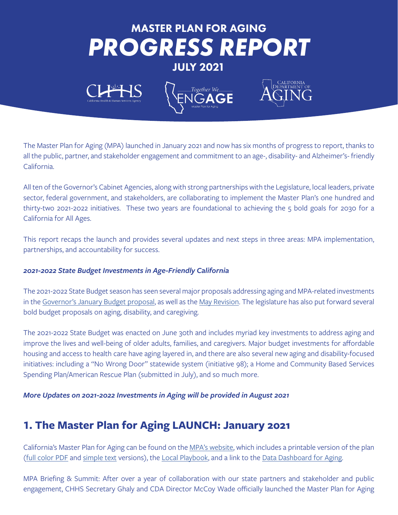# *PROGRESS REPORT* MASTER PLAN FOR AGING JULY 2021





The Master Plan for Aging (MPA) launched in January 2021 and now has six months of progress to report, thanks to all the public, partner, and stakeholder engagement and commitment to an age-, disability- and Alzheimer's- friendly California.

All ten of the Governor's Cabinet Agencies, along with strong partnerships with the Legislature, local leaders, private sector, federal government, and stakeholders, are collaborating to implement the Master Plan's one hundred and thirty-two 2021-2022 initiatives. These two years are foundational to achieving the 5 bold goals for 2030 for a California for All Ages.

This report recaps the launch and provides several updates and next steps in three areas: MPA implementation, partnerships, and accountability for success.

#### *2021-2022 State Budget Investments in Age-Friendly California*

The 2021-2022 State Budget season has seen several major proposals addressing aging and MPA-related investments in the [Governor's January Budget proposal,](https://aging.ca.gov/download.ashx?lE0rcNUV0zY%2ffNd75suTXg%3d%3d) as well as the [May Revision.](https://aging.ca.gov/download.ashx?lE0rcNUV0zY7ex1pbfoDAw%3d%3d) The legislature has also put forward several bold budget proposals on aging, disability, and caregiving.

The 2021-2022 State Budget was enacted on June 30th and includes myriad key investments to address aging and improve the lives and well-being of older adults, families, and caregivers. Major budget investments for affordable housing and access to health care have aging layered in, and there are also several new aging and disability-focused initiatives: including a "No Wrong Door" statewide system (initiative 98); a Home and Community Based Services Spending Plan/American Rescue Plan (submitted in July), and so much more.

*More Updates on 2021-2022 Investments in Aging will be provided in August 2021*

# **1. The Master Plan for Aging LAUNCH: January 2021**

California's Master Plan for Aging can be found on the [MPA's website,](https://mpa.aging.ca.gov/) which includes a printable version of the plan [\(full color PDF](https://www.aging.ca.gov/download.ashx?lE0rcNUV0zYXf9JtT7jkAg%3d%3d) and [simple text](https://www.aging.ca.gov/download.ashx?lE0rcNUV0zZe1bBmXluFyg%3d%3d) versions), the [Local Playbook,](https://mpa.aging.ca.gov/LocalPlaybook/) and a link to the [Data Dashboard for Aging](https://mpa.aging.ca.gov/DashBoard/).

MPA Briefing & Summit: After over a year of collaboration with our state partners and stakeholder and public engagement, CHHS Secretary Ghaly and CDA Director McCoy Wade officially launched the Master Plan for Aging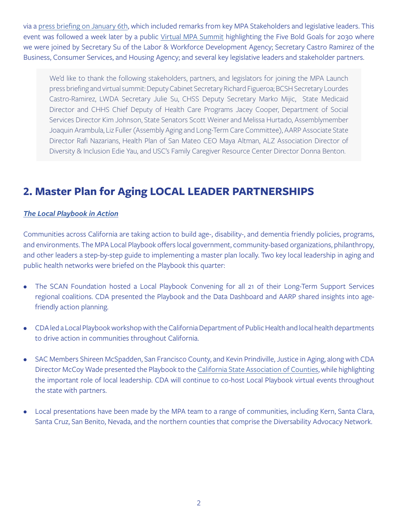via a [press briefing on January 6th,](https://www.youtube.com/watch?v=o3rm7ROhdX4) which included remarks from key MPA Stakeholders and legislative leaders. This event was followed a week later by a public [Virtual MPA Summit](https://www.youtube.com/playlist?list=PLXexWQOeFtkZAbU-qn5LF_n1QuixVQjso) highlighting the Five Bold Goals for 2030 where we were joined by Secretary Su of the Labor & Workforce Development Agency; Secretary Castro Ramirez of the Business, Consumer Services, and Housing Agency; and several key legislative leaders and stakeholder partners.

We'd like to thank the following stakeholders, partners, and legislators for joining the MPA Launch press briefing and virtual summit: Deputy Cabinet Secretary Richard Figueroa; BCSH Secretary Lourdes Castro-Ramirez, LWDA Secretary Julie Su, CHSS Deputy Secretary Marko Mijic, State Medicaid Director and CHHS Chief Deputy of Health Care Programs Jacey Cooper, Department of Social Services Director Kim Johnson, State Senators Scott Weiner and Melissa Hurtado, Assemblymember Joaquin Arambula, Liz Fuller (Assembly Aging and Long-Term Care Committee), AARP Associate State Director Rafi Nazarians, Health Plan of San Mateo CEO Maya Altman, ALZ Association Director of Diversity & Inclusion Edie Yau, and USC's Family Caregiver Resource Center Director Donna Benton.

# **2. Master Plan for Aging LOCAL LEADER PARTNERSHIPS**

#### *[The Local Playbook in Action](https://mpa.aging.ca.gov/LocalPlaybook/)*

Communities across California are taking action to build age-, disability-, and dementia friendly policies, programs, and environments. The MPA Local Playbook offers local government, community-based organizations, philanthropy, and other leaders a step-by-step guide to implementing a master plan locally. Two key local leadership in aging and public health networks were briefed on the Playbook this quarter:

- The SCAN Foundation hosted a Local Playbook Convening for all 21 of their Long-Term Support Services regional coalitions. CDA presented the Playbook and the Data Dashboard and AARP shared insights into agefriendly action planning.
- CDA led a Local Playbook workshop with the California Department of Public Health and local health departments to drive action in communities throughout California.
- SAC Members Shireen McSpadden, San Francisco County, and Kevin Prindiville, Justice in Aging, along with CDA Director McCoy Wade presented the Playbook to the [California State Association of Counties,](https://www.counties.org/) while highlighting the important role of local leadership. CDA will continue to co-host Local Playbook virtual events throughout the state with partners.
- Local presentations have been made by the MPA team to a range of communities, including Kern, Santa Clara, Santa Cruz, San Benito, Nevada, and the northern counties that comprise the Diversability Advocacy Network.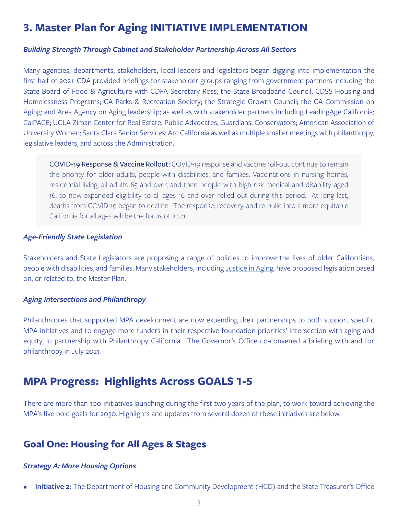## **3. Master Plan for Aging INITIATIVE IMPLEMENTATION**

#### *Building Strength Through Cabinet and Stakeholder Partnership Across All Sectors*

Many agencies, departments, stakeholders, local leaders and legislators began digging into implementation the first half of 2021. CDA provided briefings for stakeholder groups ranging from government partners including the State Board of Food & Agriculture with CDFA Secretary Ross; the State Broadband Council; CDSS Housing and Homelessness Programs; CA Parks & Recreation Society; the Strategic Growth Council; the CA Commission on Aging; and Area Agency on Aging leadership; as well as with stakeholder partners including LeadingAge California; CalPACE; UCLA Ziman Center for Real Estate; Public Advocates, Guardians, Conservators; American Association of University Women; Santa Clara Senior Services; Arc California as well as multiple smaller meetings with philanthropy, legislative leaders, and across the Administration.

COVID-19 Response & Vaccine Rollout: COVID-19 response and vaccine roll-out continue to remain the priority for older adults, people with disabilities, and families. Vaccinations in nursing homes, residential living, all adults 65 and over, and then people with high-risk medical and disability aged 16, to now expanded eligibility to all ages 16 and over rolled out during this period. At long last, deaths from COVID-19 began to decline. The response, recovery, and re-build into a more equitable California for all ages will be the focus of 2021.

#### *Age-Friendly State Legislation*

Stakeholders and State Legislators are proposing a range of policies to improve the lives of older Californians, people with disabilities, and families. Many stakeholders, including [Justice in Aging](https://justiceinaging.org/wp-content/uploads/2021/02/2021-Legislative-Bills-CA.pdf), have proposed legislation based on, or related to, the Master Plan.

#### *Aging Intersections and Philanthropy*

Philanthropies that supported MPA development are now expanding their partnerships to both support specific MPA initiatives and to engage more funders in their respective foundation priorities' intersection with aging and equity, in partnership with Philanthropy California. The Governor's Office co-convened a briefing with and for philanthropy in July 2021.

# **MPA Progress: Highlights Across GOALS 1-5**

There are more than 100 initiatives launching during the first two years of the plan, to work toward achieving the MPA's five bold goals for 2030. Highlights and updates from several dozen of these initiatives are below.

### **Goal One: Housing for All Ages & Stages**

#### *Strategy A: More Housing Options*

**• Initiative 2:** The Department of Housing and Community Development (HCD) and the State Treasurer's Office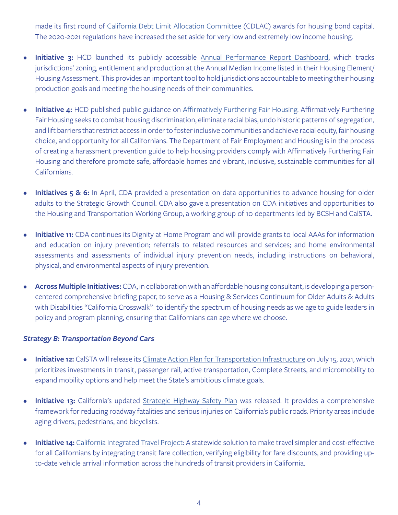made its first round of [California Debt Limit Allocation Committee](https://www.treasurer.ca.gov/cdlac/) (CDLAC) awards for housing bond capital. The 2020-2021 regulations have increased the set aside for very low and extremely low income housing.

- **• Initiative 3:** HCD launched its publicly accessible [Annual Performance Report Dashboard](https://www.hcd.ca.gov/community-development/annual-progress-reports.shtml#dashboard), which tracks jurisdictions' zoning, entitlement and production at the Annual Median Income listed in their Housing Element/ Housing Assessment. This provides an important tool to hold jurisdictions accountable to meeting their housing production goals and meeting the housing needs of their communities.
- **Initiative 4:** HCD published public guidance on [Affirmatively Furthering Fair Housing](https://www.hcd.ca.gov/community-development/affh/index.shtml). Affirmatively Furthering Fair Housing seeks to combat housing discrimination, eliminate racial bias, undo historic patterns of segregation, and lift barriers that restrict access in order to foster inclusive communities and achieve racial equity, fair housing choice, and opportunity for all Californians. The Department of Fair Employment and Housing is in the process of creating a harassment prevention guide to help housing providers comply with Affirmatively Furthering Fair Housing and therefore promote safe, affordable homes and vibrant, inclusive, sustainable communities for all Californians.
- **• Initiatives 5 & 6:** In April, CDA provided a presentation on data opportunities to advance housing for older adults to the Strategic Growth Council. CDA also gave a presentation on CDA initiatives and opportunities to the Housing and Transportation Working Group, a working group of 10 departments led by BCSH and CalSTA.
- **• Initiative 11:** CDA continues its Dignity at Home Program and will provide grants to local AAAs for information and education on injury prevention; referrals to related resources and services; and home environmental assessments and assessments of individual injury prevention needs, including instructions on behavioral, physical, and environmental aspects of injury prevention.
- **• Across Multiple Initiatives:** CDA, in collaboration with an affordable housing consultant, is developing a personcentered comprehensive briefing paper, to serve as a Housing & Services Continuum for Older Adults & Adults with Disabilities "California Crosswalk" to identify the spectrum of housing needs as we age to guide leaders in policy and program planning, ensuring that Californians can age where we choose.

#### *Strategy B: Transportation Beyond Cars*

- **• Initiative 12:** CalSTA will release its [Climate Action Plan for Transportation Infrastructure](https://calsta.ca.gov/subject-areas/climate-action-plan#:~:text=On%20March%2010%2C%202021%2C%20the,for%20Transportation%20Infrastructure%20(CAPTI).&text=CalSTA%20expects%20to%20adopt%20a,later%20than%20July%2015%2C%202021.) on July 15, 2021, which prioritizes investments in transit, passenger rail, active transportation, Complete Streets, and micromobility to expand mobility options and help meet the State's ambitious climate goals.
- **• Initiative 13:** California's updated [Strategic Highway Safety Plan](https://dot.ca.gov/programs/safety-programs/shsp) was released. It provides a comprehensive framework for reducing roadway fatalities and serious injuries on California's public roads. Priority areas include aging drivers, pedestrians, and bicyclists.
- **Initiative 14:** [California Integrated Travel Project](https://www.calitp.org/): A statewide solution to make travel simpler and cost-effective for all Californians by integrating transit fare collection, verifying eligibility for fare discounts, and providing upto-date vehicle arrival information across the hundreds of transit providers in California.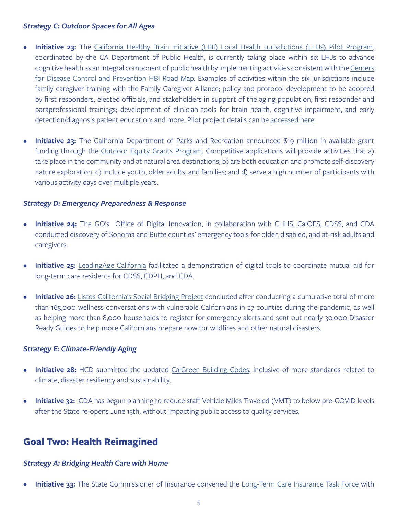#### *Strategy C: Outdoor Spaces for All Ages*

- **• Initiative 23:** The [California Healthy Brain Initiative \(HBI\) Local Health Jurisdictions \(LHJs\) Pilot Program,](https://www.cdph.ca.gov/Programs/CCDPHP/DCDIC/CDCB/Pages/CA-Healthy-Brain-Initiative-RFA.aspx) coordinated by the CA Department of Public Health, is currently taking place within six LHJs to advance cognitive health as an integral component of public health by implementing activities consistent with the [Centers](https://www.cdc.gov/aging/pdf/2018-2023-Road-Map-508.pdf) [for Disease Control and Prevention HBI Road Map](https://www.cdc.gov/aging/pdf/2018-2023-Road-Map-508.pdf). Examples of activities within the six jurisdictions include family caregiver training with the Family Caregiver Alliance; policy and protocol development to be adopted by first responders, elected officials, and stakeholders in support of the aging population; first responder and paraprofessional trainings; development of clinician tools for brain health, cognitive impairment, and early detection/diagnosis patient education; and more. Pilot project details can be [accessed here.](https://www.cdph.ca.gov/Programs/CCDPHP/DCDIC/CDCB/Pages/CA-Healthy-Brain-Initiative-RFA.aspx)
- **• Initiative 23:** The California Department of Parks and Recreation announced \$19 million in available grant funding through the [Outdoor Equity Grants Program.](https://www.parks.ca.gov/?page_id=30443) Competitive applications will provide activities that a) take place in the community and at natural area destinations; b) are both education and promote self-discovery nature exploration, c) include youth, older adults, and families; and d) serve a high number of participants with various activity days over multiple years.

#### *Strategy D: Emergency Preparedness & Response*

- **• Initiative 24:** The GO's Office of Digital Innovation, in collaboration with CHHS, CalOES, CDSS, and CDA conducted discovery of Sonoma and Butte counties' emergency tools for older, disabled, and at-risk adults and caregivers.
- **Initiative 25:** [LeadingAge California](https://www.leadingageca.org/) facilitated a demonstration of digital tools to coordinate mutual aid for long-term care residents for CDSS, CDPH, and CDA.
- **Initiative 26:** [Listos California's Social Bridging Project](https://www.listoscalifornia.org/community-projects/social-bridging-project/) concluded after conducting a cumulative total of more than 165,000 wellness conversations with vulnerable Californians in 27 counties during the pandemic, as well as helping more than 8,000 households to register for emergency alerts and sent out nearly 30,000 Disaster Ready Guides to help more Californians prepare now for wildfires and other natural disasters.

#### *Strategy E: Climate-Friendly Aging*

- **• Initiative 28:** HCD submitted the updated [CalGreen Building Codes,](https://www.hcd.ca.gov/building-standards/calgreen/index.shtml) inclusive of more standards related to climate, disaster resiliency and sustainability.
- **• Initiative 32:** CDA has begun planning to reduce staff Vehicle Miles Traveled (VMT) to below pre-COVID levels after the State re-opens June 15th, without impacting public access to quality services.

### **Goal Two: Health Reimagined**

#### *Strategy A: Bridging Health Care with Home*

**Initiative 33:** The State Commissioner of Insurance convened the [Long-Term Care Insurance Task Force](http://www.insurance.ca.gov/0500-about-us/03-appointments/ltcitf.cfm) with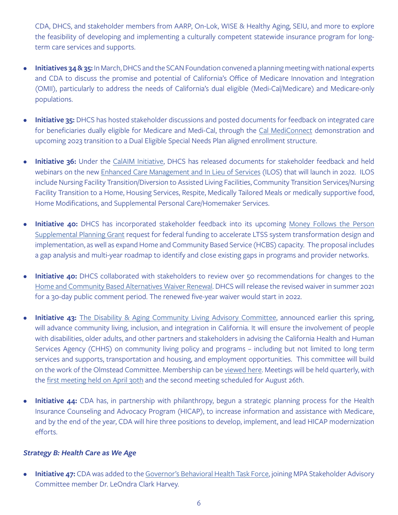CDA, DHCS, and stakeholder members from AARP, On-Lok, WISE & Healthy Aging, SEIU, and more to explore the feasibility of developing and implementing a culturally competent statewide insurance program for longterm care services and supports.

- **• Initiatives 34 & 35:** In March, DHCS and the SCAN Foundation convened a planning meeting with national experts and CDA to discuss the promise and potential of California's Office of Medicare Innovation and Integration (OMII), particularly to address the needs of California's dual eligible (Medi-Cal/Medicare) and Medicare-only populations.
- **• Initiative 35:** DHCS has hosted stakeholder discussions and posted documents for feedback on integrated care for beneficiaries dually eligible for Medicare and Medi-Cal, through the [Cal MediConnect](https://www.dhcs.ca.gov/Pages/DualsDemonstration.aspx) demonstration and upcoming 2023 transition to a Dual Eligible Special Needs Plan aligned enrollment structure.
- **• Initiative 36:** Under the [CalAIM Initiative](https://www.dhcs.ca.gov/provgovpart/Pages/CalAIM.aspx), DHCS has released documents for stakeholder feedback and held webinars on the new [Enhanced Care Management and In Lieu of Services](https://www.dhcs.ca.gov/Documents/MCQMD/ECM-and-ILOS-Model-of-Care-Template.pdf) (ILOS) that will launch in 2022. ILOS include Nursing Facility Transition/Diversion to Assisted Living Facilities, Community Transition Services/Nursing Facility Transition to a Home, Housing Services, Respite, Medically Tailored Meals or medically supportive food, Home Modifications, and Supplemental Personal Care/Homemaker Services.
- **Initiative 40:** DHCS has incorporated stakeholder feedback into its upcoming Money Follows the Person [Supplemental Planning Grant](https://www.dhcs.ca.gov/services/ltc/Pages/-MFP-Supplemental-Funding-Opportunity.aspx) request for federal funding to accelerate LTSS system transformation design and implementation, as well as expand Home and Community Based Service (HCBS) capacity. The proposal includes a gap analysis and multi-year roadmap to identify and close existing gaps in programs and provider networks.
- **Initiative 40:** DHCS collaborated with stakeholders to review over 50 recommendations for changes to the [Home and Community Based Alternatives Waiver Renewal.](https://www.dhcs.ca.gov/services/ltc/Pages/Home-and-Community-Based-(HCB)-Alternatives-Waiver.aspx) DHCS will release the revised waiver in summer 2021 for a 30-day public comment period. The renewed five-year waiver would start in 2022.
- **Initiative 43:** [The Disability & Aging Community Living Advisory Committee](https://www.chhs.ca.gov/home/committees/disability-and-aging-community-living-advisory-committee/), announced earlier this spring, will advance community living, inclusion, and integration in California. It will ensure the involvement of people with disabilities, older adults, and other partners and stakeholders in advising the California Health and Human Services Agency (CHHS) on community living policy and programs – including but not limited to long term services and supports, transportation and housing, and employment opportunities. This committee will build on the work of the Olmstead Committee. Membership can be [viewed here.](https://chhs-data-prod.s3.us-west-2.amazonaws.com/uploads/2021/04/29131259/Disability-and-Aging-Community-Living-Advisory-Committee-Member-List-April-2021.pdf) Meetings will be held quarterly, with the [first meeting held on April 30th](https://www.chhs.ca.gov/home/committees/disability-and-aging-community-living-advisory-committee/#april-30-2021) and the second meeting scheduled for August 26th.
- **• Initiative 44:** CDA has, in partnership with philanthropy, begun a strategic planning process for the Health Insurance Counseling and Advocacy Program (HICAP), to increase information and assistance with Medicare, and by the end of the year, CDA will hire three positions to develop, implement, and lead HICAP modernization efforts.

#### *Strategy B: Health Care as We Age*

**• Initiative 47:** CDA was added to the [Governor's Behavioral Health Task Force](https://www.chhs.ca.gov/home/committees/behavioral-health-task-force/), joining MPA Stakeholder Advisory Committee member Dr. LeOndra Clark Harvey.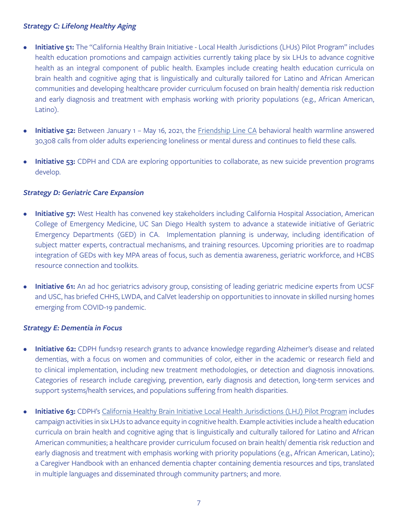#### *Strategy C: Lifelong Healthy Aging*

- **• Initiative 51:** The "California Healthy Brain Initiative Local Health Jurisdictions (LHJs) Pilot Program" includes health education promotions and campaign activities currently taking place by six LHJs to advance cognitive health as an integral component of public health. Examples include creating health education curricula on brain health and cognitive aging that is linguistically and culturally tailored for Latino and African American communities and developing healthcare provider curriculum focused on brain health/ dementia risk reduction and early diagnosis and treatment with emphasis working with priority populations (e.g., African American, Latino).
- **• Initiative 52:** Between January 1 May 16, 2021, the [Friendship Line CA](https://www.ioaging.org/friendship-line-california) behavioral health warmline answered 30,308 calls from older adults experiencing loneliness or mental duress and continues to field these calls.
- **• Initiative 53:** CDPH and CDA are exploring opportunities to collaborate, as new suicide prevention programs develop.

#### *Strategy D: Geriatric Care Expansion*

- **• Initiative 57:** West Health has convened key stakeholders including California Hospital Association, American College of Emergency Medicine, UC San Diego Health system to advance a statewide initiative of Geriatric Emergency Departments (GED) in CA. Implementation planning is underway, including identification of subject matter experts, contractual mechanisms, and training resources. Upcoming priorities are to roadmap integration of GEDs with key MPA areas of focus, such as dementia awareness, geriatric workforce, and HCBS resource connection and toolkits.
- **• Initiative 61:** An ad hoc geriatrics advisory group, consisting of leading geriatric medicine experts from UCSF and USC, has briefed CHHS, LWDA, and CalVet leadership on opportunities to innovate in skilled nursing homes emerging from COVID-19 pandemic.

#### *Strategy E: Dementia in Focus*

- **• Initiative 62:** CDPH funds19 research grants to advance knowledge regarding Alzheimer's disease and related dementias, with a focus on women and communities of color, either in the academic or research field and to clinical implementation, including new treatment methodologies, or detection and diagnosis innovations. Categories of research include caregiving, prevention, early diagnosis and detection, long-term services and support systems/health services, and populations suffering from health disparities.
- **• Initiative 63:** CDPH's [California Healthy Brain Initiative Local Health Jurisdictions \(LHJ\) Pilot Program](https://www.cdph.ca.gov/Programs/CCDPHP/DCDIC/CDCB/Pages/CA-Healthy-Brain-Initiative-RFA.aspx) includes campaign activities in six LHJs to advance equity in cognitive health. Example activities include a health education curricula on brain health and cognitive aging that is linguistically and culturally tailored for Latino and African American communities; a healthcare provider curriculum focused on brain health/ dementia risk reduction and early diagnosis and treatment with emphasis working with priority populations (e.g., African American, Latino); a Caregiver Handbook with an enhanced dementia chapter containing dementia resources and tips, translated in multiple languages and disseminated through community partners; and more.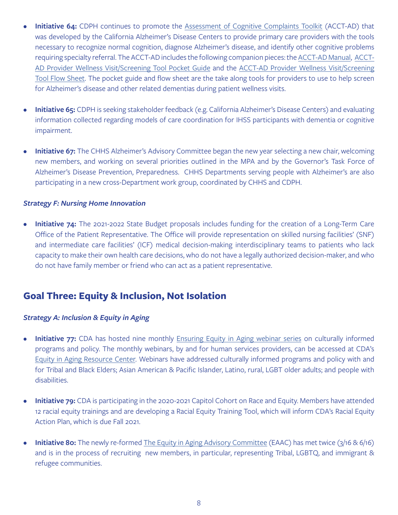- **Initiative 64:** CDPH continues to promote the [Assessment of Cognitive Complaints Toolkit](https://www.cdph.ca.gov/Programs/CCDPHP/DCDIC/CDCB/CDPH Document Library/Alzheimers) (ACCT-AD) that was developed by the California Alzheimer's Disease Centers to provide primary care providers with the tools necessary to recognize normal cognition, diagnose Alzheimer's disease, and identify other cognitive problems requiring specialty referral. The ACCT-AD includes the following companion pieces: the [ACCT-AD Manual,](https://www.cdph.ca.gov/Programs/CCDPHP/DCDIC/CDCB/CDPH Document Library/Alzheimers) [ACCT-](https://www.cdph.ca.gov/Programs/CCDPHP/DCDIC/CDCB/CDPH Document Library/Alzheimers)[AD Provider Wellness Visit/Screening Tool Pocket Guide](https://www.cdph.ca.gov/Programs/CCDPHP/DCDIC/CDCB/CDPH Document Library/Alzheimers) and the [ACCT-AD Provider Wellness Visit/Screening](https://www.cdph.ca.gov/Programs/CCDPHP/DCDIC/CDCB/CDPH Document Library/Alzheimers)  [Tool Flow Sheet](https://www.cdph.ca.gov/Programs/CCDPHP/DCDIC/CDCB/CDPH Document Library/Alzheimers). The pocket guide and flow sheet are the take along tools for providers to use to help screen for Alzheimer's disease and other related dementias during patient wellness visits.
- **• Initiative 65:** CDPH is seeking stakeholder feedback (e.g. California Alzheimer's Disease Centers) and evaluating information collected regarding models of care coordination for IHSS participants with dementia or cognitive impairment.
- **• Initiative 67:** The CHHS Alzheimer's Advisory Committee began the new year selecting a new chair, welcoming new members, and working on several priorities outlined in the MPA and by the Governor's Task Force of Alzheimer's Disease Prevention, Preparedness. CHHS Departments serving people with Alzheimer's are also participating in a new cross-Department work group, coordinated by CHHS and CDPH.

#### *Strategy F: Nursing Home Innovation*

**• Initiative 74:** The 2021-2022 State Budget proposals includes funding for the creation of a Long-Term Care Office of the Patient Representative. The Office will provide representation on skilled nursing facilities' (SNF) and intermediate care facilities' (ICF) medical decision-making interdisciplinary teams to patients who lack capacity to make their own health care decisions, who do not have a legally authorized decision-maker, and who do not have family member or friend who can act as a patient representative.

### **Goal Three: Equity & Inclusion, Not Isolation**

#### *Strategy A: Inclusion & Equity in Aging*

- **• Initiative 77:** CDA has hosted nine monthly **Ensuring Equity in Aging webinar series** on culturally informed programs and policy. The monthly webinars, by and for human services providers, can be accessed at CDA's [Equity in Aging Resource Center](https://aging.ca.gov/equity_in_aging_resource_center). Webinars have addressed culturally informed programs and policy with and for Tribal and Black Elders; Asian American & Pacific Islander, Latino, rural, LGBT older adults; and people with disabilities.
- **• Initiative 79:** CDA is participating in the 2020-2021 Capitol Cohort on Race and Equity. Members have attended 12 racial equity trainings and are developing a Racial Equity Training Tool, which will inform CDA's Racial Equity Action Plan, which is due Fall 2021.
- **• Initiative 80:** The newly re-formed [The Equity in Aging Advisory Committee](https://aging.ca.gov/equity_in_aging_resource_center/#implementation-meetings) (EAAC) has met twice (3/16 & 6/16) and is in the process of recruiting new members, in particular, representing Tribal, LGBTQ, and immigrant & refugee communities.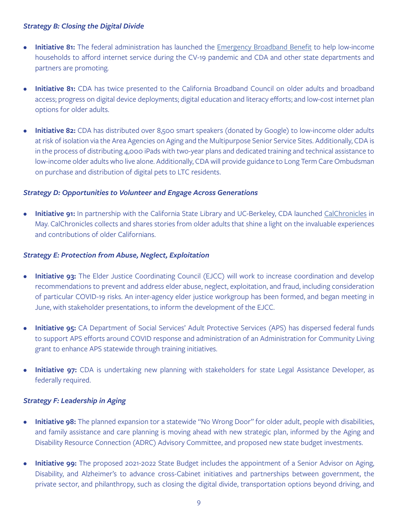#### *Strategy B: Closing the Digital Divide*

- **Initiative 81:** The federal administration has launched the [Emergency Broadband Benefit](https://www.fcc.gov/broadbandbenefit) to help low-income households to afford internet service during the CV-19 pandemic and CDA and other state departments and partners are promoting.
- **• Initiative 81:** CDA has twice presented to the California Broadband Council on older adults and broadband access; progress on digital device deployments; digital education and literacy efforts; and low-cost internet plan options for older adults.
- **• Initiative 82:** CDA has distributed over 8,500 smart speakers (donated by Google) to low-income older adults at risk of isolation via the Area Agencies on Aging and the Multipurpose Senior Service Sites. Additionally, CDA is in the process of distributing 4,000 iPads with two-year plans and dedicated training and technical assistance to low-income older adults who live alone. Additionally, CDA will provide guidance to Long Term Care Ombudsman on purchase and distribution of digital pets to LTC residents.

#### *Strategy D: Opportunities to Volunteer and Engage Across Generations*

**• Initiative 91:** In partnership with the California State Library and UC-Berkeley, CDA launched [CalChronicles](https://www.calchronicles.com/) in May. CalChronicles collects and shares stories from older adults that shine a light on the invaluable experiences and contributions of older Californians.

#### *Strategy E: Protection from Abuse, Neglect, Exploitation*

- **Initiative 93:** The Elder Justice Coordinating Council (EJCC) will work to increase coordination and develop recommendations to prevent and address elder abuse, neglect, exploitation, and fraud, including consideration of particular COVID-19 risks. An inter-agency elder justice workgroup has been formed, and began meeting in June, with stakeholder presentations, to inform the development of the EJCC.
- **• Initiative 95:** CA Department of Social Services' Adult Protective Services (APS) has dispersed federal funds to support APS efforts around COVID response and administration of an Administration for Community Living grant to enhance APS statewide through training initiatives.
- **Initiative 97:** CDA is undertaking new planning with stakeholders for state Legal Assistance Developer, as federally required.

#### *Strategy F: Leadership in Aging*

- **• Initiative 98:** The planned expansion tor a statewide "No Wrong Door" for older adult, people with disabilities, and family assistance and care planning is moving ahead with new strategic plan, informed by the Aging and Disability Resource Connection (ADRC) Advisory Committee, and proposed new state budget investments.
- **• Initiative 99:** The proposed 2021-2022 State Budget includes the appointment of a Senior Advisor on Aging, Disability, and Alzheimer's to advance cross-Cabinet initiatives and partnerships between government, the private sector, and philanthropy, such as closing the digital divide, transportation options beyond driving, and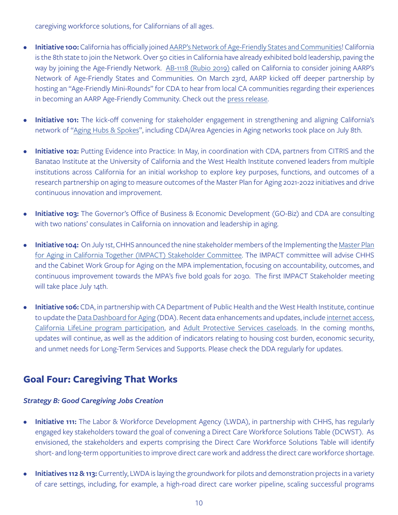caregiving workforce solutions, for Californians of all ages.

- **• Initiative 100:** California has officially joined [AARP's Network of Age-Friendly States and Communities!](https://www.aarp.org/livable-communities/network-age-friendly-communities/) California is the 8th state to join the Network. Over 50 cities in California have already exhibited bold leadership, paving the way by joining the Age-Friendly Network. [AB-1118 \(Rubio 2019\)](https://leginfo.legislature.ca.gov/faces/billTextClient.xhtml?bill_id=201920200AB1118) called on California to consider joining AARP's Network of Age-Friendly States and Communities. On March 23rd, AARP kicked off deeper partnership by hosting an "Age-Friendly Mini-Rounds" for CDA to hear from local CA communities regarding their experiences in becoming an AARP Age-Friendly Community. Check out the [press release.](https://states.aarp.org/california/agefriendlyca)
- **• Initiative 101:** The kick-off convening for stakeholder engagement in strengthening and aligning California's network of ["Aging Hubs & Spokes](https://aging.ca.gov/Statewide_Aging_Hubs_Initiative/)", including CDA/Area Agencies in Aging networks took place on July 8th.
- **• Initiative 102:** Putting Evidence into Practice: In May, in coordination with CDA, partners from CITRIS and the Banatao Institute at the University of California and the West Health Institute convened leaders from multiple institutions across California for an initial workshop to explore key purposes, functions, and outcomes of a research partnership on aging to measure outcomes of the Master Plan for Aging 2021-2022 initiatives and drive continuous innovation and improvement.
- **• Initiative 103:** The Governor's Office of Business & Economic Development (GO-Biz) and CDA are consulting with two nations' consulates in California on innovation and leadership in aging.
- **Initiative 104:** On July 1st, CHHS announced the nine stakeholder members of the Implementing the [Master Plan](https://www.chhs.ca.gov/home/master-plan-for-aging/#overview) [for Aging in California Together \(IMPACT\) Stakeholder Committee](https://www.chhs.ca.gov/home/master-plan-for-aging/#overview). The IMPACT committee will advise CHHS and the Cabinet Work Group for Aging on the MPA implementation, focusing on accountability, outcomes, and continuous improvement towards the MPA's five bold goals for 2030. The first IMPACT Stakeholder meeting will take place July 14th.
- **• Initiative 106:** CDA, in partnership with CA Department of Public Health and the West Health Institute, continue to update the [Data Dashboard for Aging](https://letsgethealthy.ca.gov/mpa-data-dashboard-for-aging/) (DDA). Recent data enhancements and updates, include [internet access,](https://letsgethealthy.ca.gov/mpa-data-dashboard-for-aging/inclusion-and-equity-not-isolation/#closing-the-digital-divide) [California LifeLine program participation,](https://letsgethealthy.ca.gov/mpa-data-dashboard-for-aging/inclusion-and-equity-not-isolation/#closing-the-digital-divide) and [Adult Protective Services caseloads](https://letsgethealthy.ca.gov/mpa-data-dashboard-for-aging/inclusion-and-equity-not-isolation/#closing-the-digital-divide). In the coming months, updates will continue, as well as the addition of indicators relating to housing cost burden, economic security, and unmet needs for Long-Term Services and Supports. Please check the DDA regularly for updates.

### **Goal Four: Caregiving That Works**

#### *Strategy B: Good Caregiving Jobs Creation*

- **• Initiative 111:** The Labor & Workforce Development Agency (LWDA), in partnership with CHHS, has regularly engaged key stakeholders toward the goal of convening a Direct Care Workforce Solutions Table (DCWST). As envisioned, the stakeholders and experts comprising the Direct Care Workforce Solutions Table will identify short- and long-term opportunities to improve direct care work and address the direct care workforce shortage.
- **Initiatives 112 & 113:** Currently, LWDA is laying the groundwork for pilots and demonstration projects in a variety of care settings, including, for example, a high-road direct care worker pipeline, scaling successful programs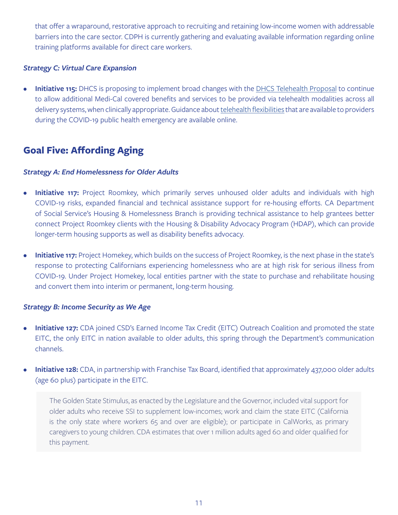that offer a wraparound, restorative approach to recruiting and retaining low-income women with addressable barriers into the care sector. CDPH is currently gathering and evaluating available information regarding online training platforms available for direct care workers.

#### *Strategy C: Virtual Care Expansion*

**• Initiative 115:** DHCS is proposing to implement broad changes with the [DHCS Telehealth Proposal](https://www.dhcs.ca.gov/Documents/COVID-19/DHCS-Telehealth-Policy-Proposal-5-14-21-DOF-Comments.pdf) to continue to allow additional Medi-Cal covered benefits and services to be provided via telehealth modalities across all delivery systems, when clinically appropriate. Guidance about [telehealth flexibilities](https://www.dhcs.ca.gov/Documents/COVID-19/Telehealth-Other-Virtual-Telephonic-Communications.pdf) that are available to providers during the COVID-19 public health emergency are available online.

## **Goal Five: Affording Aging**

#### *Strategy A: End Homelessness for Older Adults*

- **• Initiative 117:** Project Roomkey, which primarily serves unhoused older adults and individuals with high COVID-19 risks, expanded financial and technical assistance support for re-housing efforts. CA Department of Social Service's Housing & Homelessness Branch is providing technical assistance to help grantees better connect Project Roomkey clients with the Housing & Disability Advocacy Program (HDAP), which can provide longer-term housing supports as well as disability benefits advocacy.
- **Initiative 117:** Project Homekey, which builds on the success of Project Roomkey, is the next phase in the state's response to protecting Californians experiencing homelessness who are at high risk for serious illness from COVID-19. Under Project Homekey, local entities partner with the state to purchase and rehabilitate housing and convert them into interim or permanent, long-term housing.

#### *Strategy B: Income Security as We Age*

- **• Initiative 127:** CDA joined CSD's Earned Income Tax Credit (EITC) Outreach Coalition and promoted the state EITC, the only EITC in nation available to older adults, this spring through the Department's communication channels.
- **Initiative 128:** CDA, in partnership with Franchise Tax Board, identified that approximately 437,000 older adults (age 60 plus) participate in the EITC.

The Golden State Stimulus, as enacted by the Legislature and the Governor, included vital support for older adults who receive SSI to supplement low-incomes; work and claim the state EITC (California is the only state where workers 65 and over are eligible); or participate in CalWorks, as primary caregivers to young children. CDA estimates that over 1 million adults aged 60 and older qualified for this payment.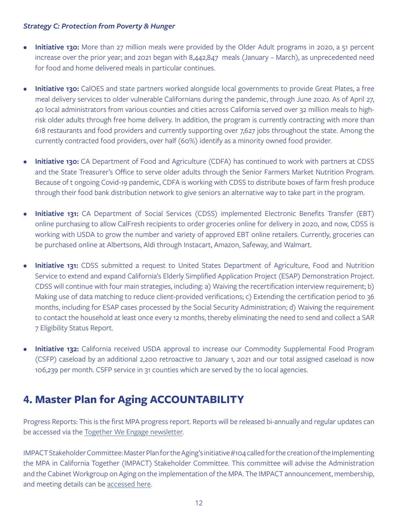#### *Strategy C: Protection from Poverty & Hunger*

- **Initiative 130:** More than 27 million meals were provided by the Older Adult programs in 2020, a 51 percent increase over the prior year; and 2021 began with 8,442,847 meals (January – March), as unprecedented need for food and home delivered meals in particular continues.
- **Initiative 130:** CalOES and state partners worked alongside local governments to provide Great Plates, a free meal delivery services to older vulnerable Californians during the pandemic, through June 2020. As of April 27, 40 local administrators from various counties and cities across California served over 32 million meals to highrisk older adults through free home delivery. In addition, the program is currently contracting with more than 618 restaurants and food providers and currently supporting over 7,627 jobs throughout the state. Among the currently contracted food providers, over half (60%) identify as a minority owned food provider.
- **• Initiative 130:** CA Department of Food and Agriculture (CDFA) has continued to work with partners at CDSS and the State Treasurer's Office to serve older adults through the Senior Farmers Market Nutrition Program. Because of t ongoing Covid-19 pandemic, CDFA is working with CDSS to distribute boxes of farm fresh produce through their food bank distribution network to give seniors an alternative way to take part in the program.
- **Initiative 131:** CA Department of Social Services (CDSS) implemented Electronic Benefits Transfer (EBT) online purchasing to allow CalFresh recipients to order groceries online for delivery in 2020, and now, CDSS is working with USDA to grow the number and variety of approved EBT online retailers. Currently, groceries can be purchased online at Albertsons, Aldi through Instacart, Amazon, Safeway, and Walmart.
- **Initiative 131:** CDSS submitted a request to United States Department of Agriculture, Food and Nutrition Service to extend and expand California's Elderly Simplified Application Project (ESAP) Demonstration Project. CDSS will continue with four main strategies, including: a) Waiving the recertification interview requirement; b) Making use of data matching to reduce client-provided verifications; c) Extending the certification period to 36 months, including for ESAP cases processed by the Social Security Administration; d) Waiving the requirement to contact the household at least once every 12 months, thereby eliminating the need to send and collect a SAR 7 Eligibility Status Report.
- **Initiative 132:** California received USDA approval to increase our Commodity Supplemental Food Program (CSFP) caseload by an additional 2,200 retroactive to January 1, 2021 and our total assigned caseload is now 106,239 per month. CSFP service in 31 counties which are served by the 10 local agencies.

# **4. Master Plan for Aging ACCOUNTABILITY**

Progress Reports: This is the first MPA progress report. Reports will be released bi-annually and regular updates can be accessed via the [Together We Engage newsletter.](https://aging.us4.list-manage.com/subscribe?id=173d0260aa&u=885fd0fb81501c74e82ac45b1)

IMPACT Stakeholder Committee: Master Plan for the Aging's initiative #104 called for the creation of the Implementing the MPA in California Together (IMPACT) Stakeholder Committee. This committee will advise the Administration and the Cabinet Workgroup on Aging on the implementation of the MPA. The IMPACT announcement, membership, and meeting details can be [accessed here](https://www.chhs.ca.gov/home/master-plan-for-aging/#overview).